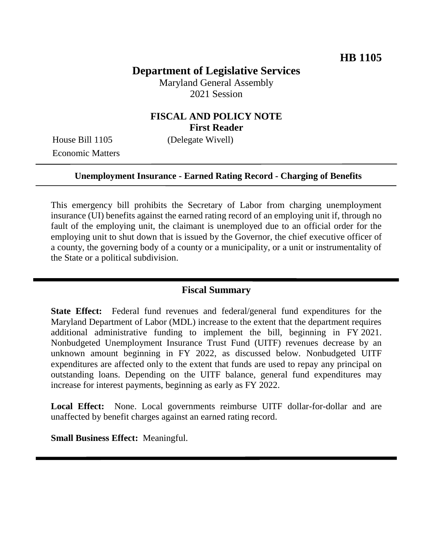# **Department of Legislative Services**

Maryland General Assembly 2021 Session

## **FISCAL AND POLICY NOTE First Reader**

House Bill 1105 (Delegate Wivell) Economic Matters

#### **Unemployment Insurance - Earned Rating Record - Charging of Benefits**

This emergency bill prohibits the Secretary of Labor from charging unemployment insurance (UI) benefits against the earned rating record of an employing unit if, through no fault of the employing unit, the claimant is unemployed due to an official order for the employing unit to shut down that is issued by the Governor, the chief executive officer of a county, the governing body of a county or a municipality, or a unit or instrumentality of the State or a political subdivision.

#### **Fiscal Summary**

**State Effect:** Federal fund revenues and federal/general fund expenditures for the Maryland Department of Labor (MDL) increase to the extent that the department requires additional administrative funding to implement the bill, beginning in FY 2021. Nonbudgeted Unemployment Insurance Trust Fund (UITF) revenues decrease by an unknown amount beginning in FY 2022, as discussed below. Nonbudgeted UITF expenditures are affected only to the extent that funds are used to repay any principal on outstanding loans. Depending on the UITF balance, general fund expenditures may increase for interest payments, beginning as early as FY 2022.

Local Effect: None. Local governments reimburse UITF dollar-for-dollar and are unaffected by benefit charges against an earned rating record.

**Small Business Effect:** Meaningful.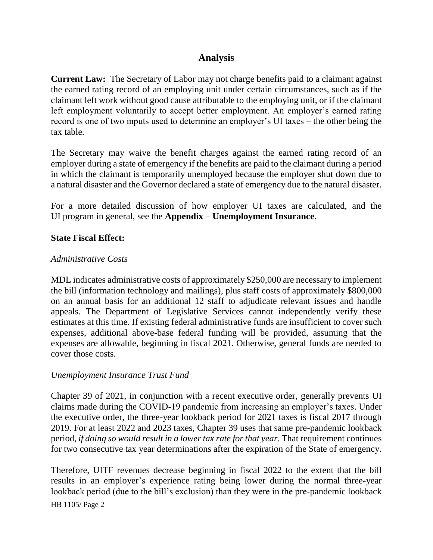## **Analysis**

**Current Law:** The Secretary of Labor may not charge benefits paid to a claimant against the earned rating record of an employing unit under certain circumstances, such as if the claimant left work without good cause attributable to the employing unit, or if the claimant left employment voluntarily to accept better employment. An employer's earned rating record is one of two inputs used to determine an employer's UI taxes – the other being the tax table.

The Secretary may waive the benefit charges against the earned rating record of an employer during a state of emergency if the benefits are paid to the claimant during a period in which the claimant is temporarily unemployed because the employer shut down due to a natural disaster and the Governor declared a state of emergency due to the natural disaster.

For a more detailed discussion of how employer UI taxes are calculated, and the UI program in general, see the **Appendix – Unemployment Insurance**.

### **State Fiscal Effect:**

#### *Administrative Costs*

MDL indicates administrative costs of approximately \$250,000 are necessary to implement the bill (information technology and mailings), plus staff costs of approximately \$800,000 on an annual basis for an additional 12 staff to adjudicate relevant issues and handle appeals. The Department of Legislative Services cannot independently verify these estimates at this time. If existing federal administrative funds are insufficient to cover such expenses, additional above-base federal funding will be provided, assuming that the expenses are allowable, beginning in fiscal 2021. Otherwise, general funds are needed to cover those costs.

### *Unemployment Insurance Trust Fund*

Chapter 39 of 2021, in conjunction with a recent executive order, generally prevents UI claims made during the COVID-19 pandemic from increasing an employer's taxes. Under the executive order, the three-year lookback period for 2021 taxes is fiscal 2017 through 2019. For at least 2022 and 2023 taxes, Chapter 39 uses that same pre-pandemic lookback period, *if doing so would result in a lower tax rate for that year*. That requirement continues for two consecutive tax year determinations after the expiration of the State of emergency.

Therefore, UITF revenues decrease beginning in fiscal 2022 to the extent that the bill results in an employer's experience rating being lower during the normal three-year lookback period (due to the bill's exclusion) than they were in the pre-pandemic lookback

HB 1105/ Page 2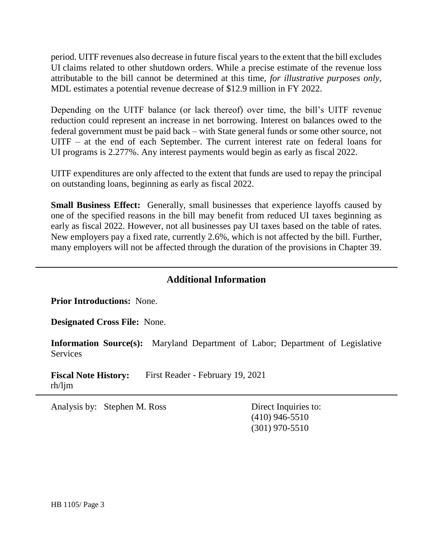period. UITF revenues also decrease in future fiscal years to the extent that the bill excludes UI claims related to other shutdown orders. While a precise estimate of the revenue loss attributable to the bill cannot be determined at this time, *for illustrative purposes only,* MDL estimates a potential revenue decrease of \$12.9 million in FY 2022.

Depending on the UITF balance (or lack thereof) over time, the bill's UITF revenue reduction could represent an increase in net borrowing. Interest on balances owed to the federal government must be paid back – with State general funds or some other source, not UITF – at the end of each September. The current interest rate on federal loans for UI programs is 2.277%. Any interest payments would begin as early as fiscal 2022.

UITF expenditures are only affected to the extent that funds are used to repay the principal on outstanding loans, beginning as early as fiscal 2022.

**Small Business Effect:** Generally, small businesses that experience layoffs caused by one of the specified reasons in the bill may benefit from reduced UI taxes beginning as early as fiscal 2022. However, not all businesses pay UI taxes based on the table of rates. New employers pay a fixed rate, currently 2.6%, which is not affected by the bill. Further, many employers will not be affected through the duration of the provisions in Chapter 39.

### **Additional Information**

**Prior Introductions:** None.

**Designated Cross File:** None.

**Information Source(s):** Maryland Department of Labor; Department of Legislative Services

**Fiscal Note History:** First Reader - February 19, 2021 rh/ljm

Analysis by: Stephen M. Ross Direct Inquiries to:

(410) 946-5510 (301) 970-5510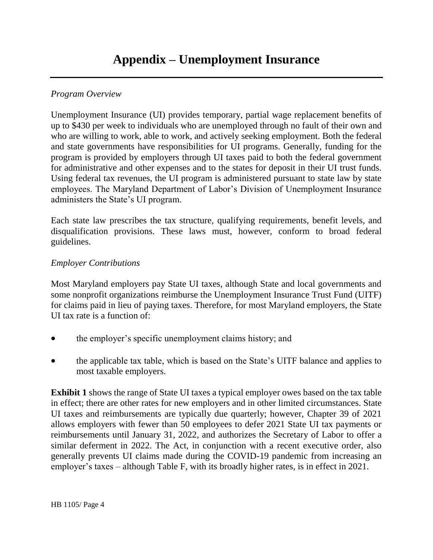### *Program Overview*

Unemployment Insurance (UI) provides temporary, partial wage replacement benefits of up to \$430 per week to individuals who are unemployed through no fault of their own and who are willing to work, able to work, and actively seeking employment. Both the federal and state governments have responsibilities for UI programs. Generally, funding for the program is provided by employers through UI taxes paid to both the federal government for administrative and other expenses and to the states for deposit in their UI trust funds. Using federal tax revenues, the UI program is administered pursuant to state law by state employees. The Maryland Department of Labor's Division of Unemployment Insurance administers the State's UI program.

Each state law prescribes the tax structure, qualifying requirements, benefit levels, and disqualification provisions. These laws must, however, conform to broad federal guidelines.

### *Employer Contributions*

Most Maryland employers pay State UI taxes, although State and local governments and some nonprofit organizations reimburse the Unemployment Insurance Trust Fund (UITF) for claims paid in lieu of paying taxes. Therefore, for most Maryland employers, the State UI tax rate is a function of:

- the employer's specific unemployment claims history; and
- the applicable tax table, which is based on the State's UITF balance and applies to most taxable employers.

**Exhibit 1** shows the range of State UI taxes a typical employer owes based on the tax table in effect; there are other rates for new employers and in other limited circumstances. State UI taxes and reimbursements are typically due quarterly; however, Chapter 39 of 2021 allows employers with fewer than 50 employees to defer 2021 State UI tax payments or reimbursements until January 31, 2022, and authorizes the Secretary of Labor to offer a similar deferment in 2022. The Act, in conjunction with a recent executive order, also generally prevents UI claims made during the COVID-19 pandemic from increasing an employer's taxes – although Table F, with its broadly higher rates, is in effect in 2021.